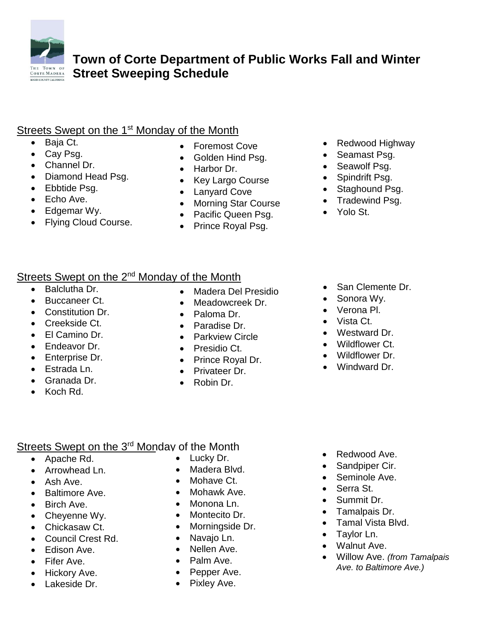

**Town of Corte Department of Public Works Fall and Winter Street Sweeping Schedule**

## Streets Swept on the 1<sup>st</sup> Monday of the Month

- Baja Ct.
- Cay Psg.
- Channel Dr.
- Diamond Head Psg.
- Ebbtide Psg.
- Echo Ave.
- Edgemar Wy.
- Flying Cloud Course.
- Foremost Cove
- Golden Hind Psg.
- Harbor Dr.
- Key Largo Course
- Lanyard Cove
- Morning Star Course
- Pacific Queen Psg.
- Prince Royal Psg.
- Redwood Highway
- Seamast Psg.
- Seawolf Psg.
- Spindrift Psg.
- Staghound Psg.
- Tradewind Psg.
- Yolo St.

## Streets Swept on the 2<sup>nd</sup> Monday of the Month

- Balclutha Dr.
- Buccaneer Ct.
- Constitution Dr.
- Creekside Ct.
- El Camino Dr.
- Endeavor Dr.
- Enterprise Dr.
- Estrada Ln.
- Granada Dr.
- Koch Rd.
- Madera Del Presidio
- Meadowcreek Dr.
- Paloma Dr.
- Paradise Dr.
- **•** Parkview Circle
- Presidio Ct.
- Prince Royal Dr.
- Privateer Dr.
- Robin Dr.
- San Clemente Dr.
- Sonora Wy.
- Verona Pl.
- Vista Ct.
- Westward Dr.
- Wildflower Ct.
- Wildflower Dr.
- Windward Dr.

## Streets Swept on the 3<sup>rd</sup> Monday of the Month

- Apache Rd.
- Arrowhead Ln.
- Ash Ave.
- Baltimore Ave.
- Birch Ave.
- Cheyenne Wy.
- Chickasaw Ct.
- Council Crest Rd.
- Edison Ave.
- Fifer Ave.
- Hickory Ave.
- Lakeside Dr.
- Lucky Dr.
- Madera Blvd.
- Mohave Ct.
- 
- Monona Ln.
- Montecito Dr.
- Morningside Dr.
- Navaio Ln.
- Nellen Ave.
- Palm Ave.
- Pepper Ave.
- Pixley Ave.
- Redwood Ave.
- Sandpiper Cir.
- Seminole Ave.
- Serra St.
- Summit Dr.
- Tamalpais Dr.
- Tamal Vista Blvd.
- Taylor Ln.
- Walnut Ave.
- Willow Ave. *(from Tamalpais Ave. to Baltimore Ave.)*

Mohawk Ave.